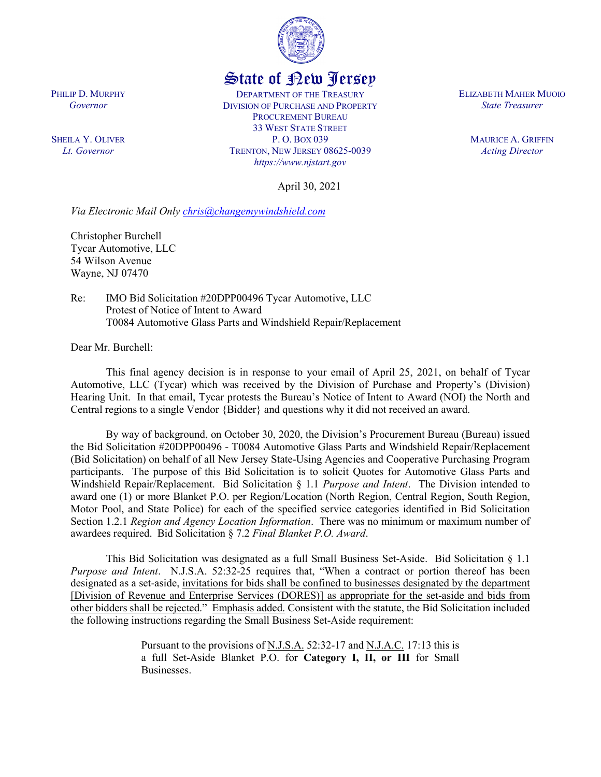

## State of New Jersey

DEPARTMENT OF THE TREASURY DIVISION OF PURCHASE AND PROPERTY PROCUREMENT BUREAU 33 WEST STATE STREET P. O. BOX 039 TRENTON, NEW JERSEY 08625-0039 *https://www.njstart.gov*

ELIZABETH MAHER MUOIO *State Treasurer*

> MAURICE A. GRIFFIN *Acting Director*

April 30, 2021

*Via Electronic Mail Only [chris@changemywindshield.com](mailto:chris@changemywindshield.com)*

Christopher Burchell Tycar Automotive, LLC 54 Wilson Avenue Wayne, NJ 07470

Re: IMO Bid Solicitation #20DPP00496 Tycar Automotive, LLC Protest of Notice of Intent to Award T0084 Automotive Glass Parts and Windshield Repair/Replacement

Dear Mr. Burchell:

This final agency decision is in response to your email of April 25, 2021, on behalf of Tycar Automotive, LLC (Tycar) which was received by the Division of Purchase and Property's (Division) Hearing Unit. In that email, Tycar protests the Bureau's Notice of Intent to Award (NOI) the North and Central regions to a single Vendor {Bidder} and questions why it did not received an award.

By way of background, on October 30, 2020, the Division's Procurement Bureau (Bureau) issued the Bid Solicitation #20DPP00496 - T0084 Automotive Glass Parts and Windshield Repair/Replacement (Bid Solicitation) on behalf of all New Jersey State-Using Agencies and Cooperative Purchasing Program participants. The purpose of this Bid Solicitation is to solicit Quotes for Automotive Glass Parts and Windshield Repair/Replacement. Bid Solicitation § 1.1 *Purpose and Intent*. The Division intended to award one (1) or more Blanket P.O. per Region/Location (North Region, Central Region, South Region, Motor Pool, and State Police) for each of the specified service categories identified in Bid Solicitation Section 1.2.1 *Region and Agency Location Information*. There was no minimum or maximum number of awardees required. Bid Solicitation § 7.2 *Final Blanket P.O. Award*.

This Bid Solicitation was designated as a full Small Business Set-Aside. Bid Solicitation § 1.1 *Purpose and Intent*. N.J.S.A. 52:32-25 requires that, "When a contract or portion thereof has been designated as a set-aside, invitations for bids shall be confined to businesses designated by the department [Division of Revenue and Enterprise Services (DORES)] as appropriate for the set-aside and bids from other bidders shall be rejected." Emphasis added. Consistent with the statute, the Bid Solicitation included the following instructions regarding the Small Business Set-Aside requirement:

> Pursuant to the provisions of N.J.S.A. 52:32-17 and N.J.A.C. 17:13 this is a full Set-Aside Blanket P.O. for **Category I, II, or III** for Small Businesses.

PHILIP D. MURPHY *Governor*

SHEILA Y. OLIVER *Lt. Governor*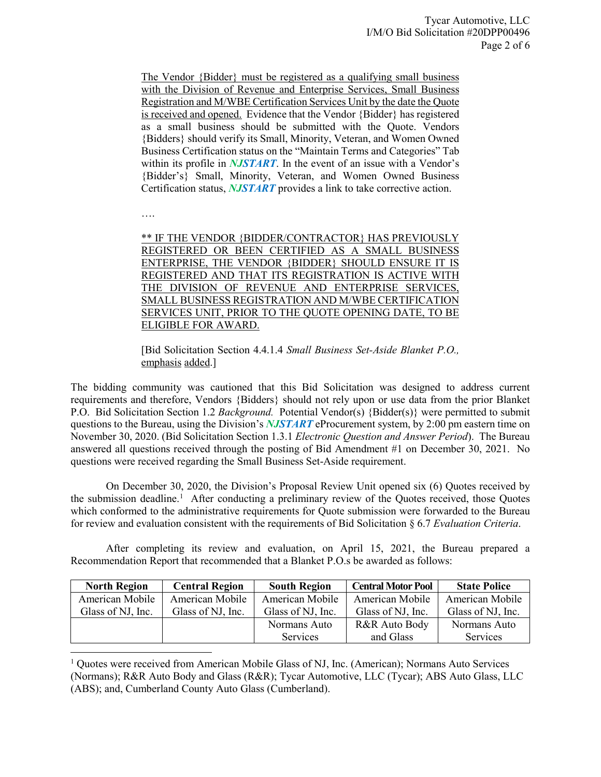The Vendor {Bidder} must be registered as a qualifying small business with the Division of Revenue and Enterprise Services, Small Business Registration and M/WBE Certification Services Unit by the date the Quote is received and opened. Evidence that the Vendor {Bidder} has registered as a small business should be submitted with the Quote. Vendors {Bidders} should verify its Small, Minority, Veteran, and Women Owned Business Certification status on the "Maintain Terms and Categories" Tab within its profile in *NJSTART*. In the event of an issue with a Vendor's {Bidder's} Small, Minority, Veteran, and Women Owned Business Certification status, *NJSTART* provides a link to take corrective action.

….

l

\*\* IF THE VENDOR {BIDDER/CONTRACTOR} HAS PREVIOUSLY REGISTERED OR BEEN CERTIFIED AS A SMALL BUSINESS ENTERPRISE, THE VENDOR {BIDDER} SHOULD ENSURE IT IS REGISTERED AND THAT ITS REGISTRATION IS ACTIVE WITH THE DIVISION OF REVENUE AND ENTERPRISE SERVICES, SMALL BUSINESS REGISTRATION AND M/WBE CERTIFICATION SERVICES UNIT, PRIOR TO THE QUOTE OPENING DATE, TO BE ELIGIBLE FOR AWARD.

[Bid Solicitation Section 4.4.1.4 *Small Business Set-Aside Blanket P.O.,*  emphasis added.]

The bidding community was cautioned that this Bid Solicitation was designed to address current requirements and therefore, Vendors {Bidders} should not rely upon or use data from the prior Blanket P.O. Bid Solicitation Section 1.2 *Background.* Potential Vendor(s) {Bidder(s)} were permitted to submit questions to the Bureau, using the Division's *NJSTART* eProcurement system, by 2:00 pm eastern time on November 30, 2020. (Bid Solicitation Section 1.3.1 *Electronic Question and Answer Period*). The Bureau answered all questions received through the posting of Bid Amendment #1 on December 30, 2021. No questions were received regarding the Small Business Set-Aside requirement.

On December 30, 2020, the Division's Proposal Review Unit opened six (6) Quotes received by the submission deadline.<sup>[1](#page-1-0)</sup> After conducting a preliminary review of the Quotes received, those Quotes which conformed to the administrative requirements for Quote submission were forwarded to the Bureau for review and evaluation consistent with the requirements of Bid Solicitation § 6.7 *Evaluation Criteria*.

After completing its review and evaluation, on April 15, 2021, the Bureau prepared a Recommendation Report that recommended that a Blanket P.O.s be awarded as follows:

| <b>North Region</b> | <b>Central Region</b> | <b>South Region</b> | <b>Central Motor Pool</b> | <b>State Police</b> |
|---------------------|-----------------------|---------------------|---------------------------|---------------------|
| American Mobile     | American Mobile       | American Mobile     | American Mobile           | American Mobile     |
| Glass of NJ, Inc.   | Glass of NJ, Inc.     | Glass of NJ, Inc.   | Glass of NJ, Inc.         | Glass of NJ, Inc.   |
|                     |                       | Normans Auto        | R&R Auto Body             | Normans Auto        |
|                     |                       | <b>Services</b>     | and Glass                 | Services            |

<span id="page-1-0"></span><sup>&</sup>lt;sup>1</sup> Quotes were received from American Mobile Glass of NJ, Inc. (American); Normans Auto Services (Normans); R&R Auto Body and Glass (R&R); Tycar Automotive, LLC (Tycar); ABS Auto Glass, LLC (ABS); and, Cumberland County Auto Glass (Cumberland).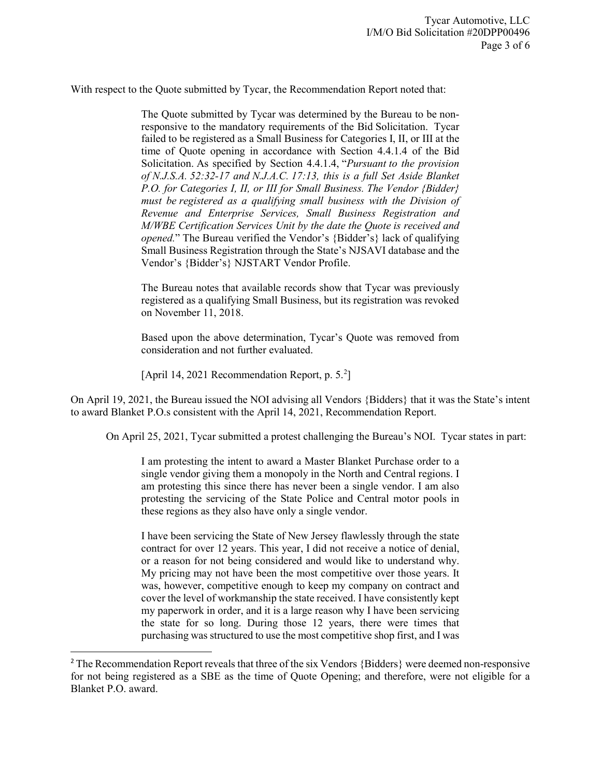With respect to the Quote submitted by Tycar, the Recommendation Report noted that:

The Quote submitted by Tycar was determined by the Bureau to be nonresponsive to the mandatory requirements of the Bid Solicitation. Tycar failed to be registered as a Small Business for Categories I, II, or III at the time of Quote opening in accordance with Section 4.4.1.4 of the Bid Solicitation. As specified by Section 4.4.1.4, "*Pursuant to the provision of N.J.S.A. 52:32-17 and N.J.A.C. 17:13, this is a full Set Aside Blanket P.O. for Categories I, II, or III for Small Business. The Vendor {Bidder} must be registered as a qualifying small business with the Division of Revenue and Enterprise Services, Small Business Registration and M/WBE Certification Services Unit by the date the Quote is received and opened.*" The Bureau verified the Vendor's {Bidder's} lack of qualifying Small Business Registration through the State's NJSAVI database and the Vendor's {Bidder's} NJSTART Vendor Profile.

The Bureau notes that available records show that Tycar was previously registered as a qualifying Small Business, but its registration was revoked on November 11, 2018.

Based upon the above determination, Tycar's Quote was removed from consideration and not further evaluated.

[April 14, 2021 Recommendation Report, p. 5. [2](#page-2-0) ]

On April 19, 2021, the Bureau issued the NOI advising all Vendors {Bidders} that it was the State's intent to award Blanket P.O.s consistent with the April 14, 2021, Recommendation Report.

On April 25, 2021, Tycar submitted a protest challenging the Bureau's NOI. Tycar states in part:

I am protesting the intent to award a Master Blanket Purchase order to a single vendor giving them a monopoly in the North and Central regions. I am protesting this since there has never been a single vendor. I am also protesting the servicing of the State Police and Central motor pools in these regions as they also have only a single vendor.

I have been servicing the State of New Jersey flawlessly through the state contract for over 12 years. This year, I did not receive a notice of denial, or a reason for not being considered and would like to understand why. My pricing may not have been the most competitive over those years. It was, however, competitive enough to keep my company on contract and cover the level of workmanship the state received. I have consistently kept my paperwork in order, and it is a large reason why I have been servicing the state for so long. During those 12 years, there were times that purchasing was structured to use the most competitive shop first, and I was

<span id="page-2-0"></span><sup>&</sup>lt;sup>2</sup> The Recommendation Report reveals that three of the six Vendors {Bidders} were deemed non-responsive for not being registered as a SBE as the time of Quote Opening; and therefore, were not eligible for a Blanket P.O. award.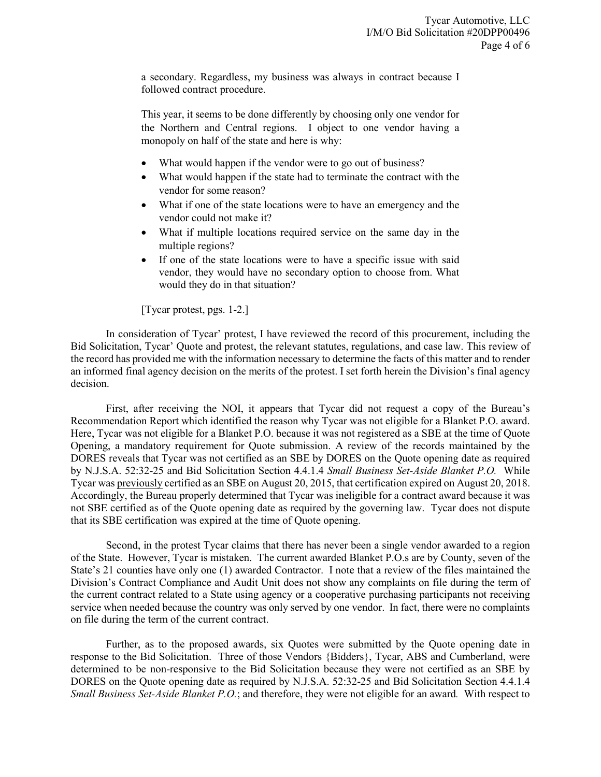a secondary. Regardless, my business was always in contract because I followed contract procedure.

This year, it seems to be done differently by choosing only one vendor for the Northern and Central regions. I object to one vendor having a monopoly on half of the state and here is why:

- What would happen if the vendor were to go out of business?
- What would happen if the state had to terminate the contract with the vendor for some reason?
- What if one of the state locations were to have an emergency and the vendor could not make it?
- What if multiple locations required service on the same day in the multiple regions?
- If one of the state locations were to have a specific issue with said vendor, they would have no secondary option to choose from. What would they do in that situation?

[Tycar protest, pgs. 1-2.]

In consideration of Tycar' protest, I have reviewed the record of this procurement, including the Bid Solicitation, Tycar' Quote and protest, the relevant statutes, regulations, and case law. This review of the record has provided me with the information necessary to determine the facts of this matter and to render an informed final agency decision on the merits of the protest. I set forth herein the Division's final agency decision.

First, after receiving the NOI, it appears that Tycar did not request a copy of the Bureau's Recommendation Report which identified the reason why Tycar was not eligible for a Blanket P.O. award. Here, Tycar was not eligible for a Blanket P.O. because it was not registered as a SBE at the time of Quote Opening, a mandatory requirement for Quote submission. A review of the records maintained by the DORES reveals that Tycar was not certified as an SBE by DORES on the Quote opening date as required by N.J.S.A. 52:32-25 and Bid Solicitation Section 4.4.1.4 *Small Business Set-Aside Blanket P.O.* While Tycar was previously certified as an SBE on August 20, 2015, that certification expired on August 20, 2018. Accordingly, the Bureau properly determined that Tycar was ineligible for a contract award because it was not SBE certified as of the Quote opening date as required by the governing law. Tycar does not dispute that its SBE certification was expired at the time of Quote opening.

Second, in the protest Tycar claims that there has never been a single vendor awarded to a region of the State. However, Tycar is mistaken. The current awarded Blanket P.O.s are by County, seven of the State's 21 counties have only one (1) awarded Contractor. I note that a review of the files maintained the Division's Contract Compliance and Audit Unit does not show any complaints on file during the term of the current contract related to a State using agency or a cooperative purchasing participants not receiving service when needed because the country was only served by one vendor. In fact, there were no complaints on file during the term of the current contract.

Further, as to the proposed awards, six Quotes were submitted by the Quote opening date in response to the Bid Solicitation. Three of those Vendors {Bidders}, Tycar, ABS and Cumberland, were determined to be non-responsive to the Bid Solicitation because they were not certified as an SBE by DORES on the Quote opening date as required by N.J.S.A. 52:32-25 and Bid Solicitation Section 4.4.1.4 *Small Business Set-Aside Blanket P.O.*; and therefore, they were not eligible for an award*.* With respect to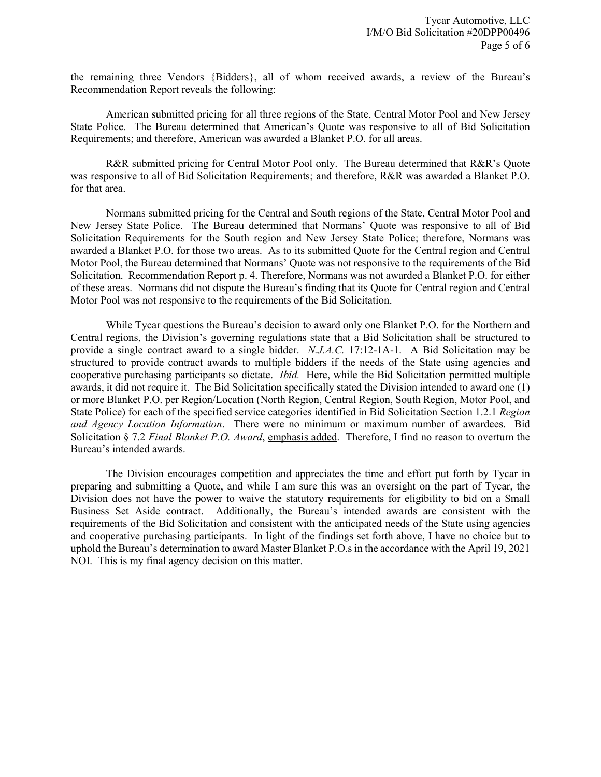the remaining three Vendors {Bidders}, all of whom received awards, a review of the Bureau's Recommendation Report reveals the following:

American submitted pricing for all three regions of the State, Central Motor Pool and New Jersey State Police. The Bureau determined that American's Quote was responsive to all of Bid Solicitation Requirements; and therefore, American was awarded a Blanket P.O. for all areas.

R&R submitted pricing for Central Motor Pool only. The Bureau determined that R&R's Quote was responsive to all of Bid Solicitation Requirements; and therefore, R&R was awarded a Blanket P.O. for that area.

Normans submitted pricing for the Central and South regions of the State, Central Motor Pool and New Jersey State Police. The Bureau determined that Normans' Quote was responsive to all of Bid Solicitation Requirements for the South region and New Jersey State Police; therefore, Normans was awarded a Blanket P.O. for those two areas. As to its submitted Quote for the Central region and Central Motor Pool, the Bureau determined that Normans' Quote was not responsive to the requirements of the Bid Solicitation. Recommendation Report p. 4. Therefore, Normans was not awarded a Blanket P.O. for either of these areas. Normans did not dispute the Bureau's finding that its Quote for Central region and Central Motor Pool was not responsive to the requirements of the Bid Solicitation.

While Tycar questions the Bureau's decision to award only one Blanket P.O. for the Northern and Central regions, the Division's governing regulations state that a Bid Solicitation shall be structured to provide a single contract award to a single bidder. *N.J.A.C.* 17:12-1A-1. A Bid Solicitation may be structured to provide contract awards to multiple bidders if the needs of the State using agencies and cooperative purchasing participants so dictate. *Ibid.* Here, while the Bid Solicitation permitted multiple awards, it did not require it. The Bid Solicitation specifically stated the Division intended to award one (1) or more Blanket P.O. per Region/Location (North Region, Central Region, South Region, Motor Pool, and State Police) for each of the specified service categories identified in Bid Solicitation Section 1.2.1 *Region and Agency Location Information*. There were no minimum or maximum number of awardees. Bid Solicitation § 7.2 *Final Blanket P.O. Award*, emphasis added. Therefore, I find no reason to overturn the Bureau's intended awards.

The Division encourages competition and appreciates the time and effort put forth by Tycar in preparing and submitting a Quote, and while I am sure this was an oversight on the part of Tycar, the Division does not have the power to waive the statutory requirements for eligibility to bid on a Small Business Set Aside contract. Additionally, the Bureau's intended awards are consistent with the requirements of the Bid Solicitation and consistent with the anticipated needs of the State using agencies and cooperative purchasing participants. In light of the findings set forth above, I have no choice but to uphold the Bureau's determination to award Master Blanket P.O.s in the accordance with the April 19, 2021 NOI. This is my final agency decision on this matter.